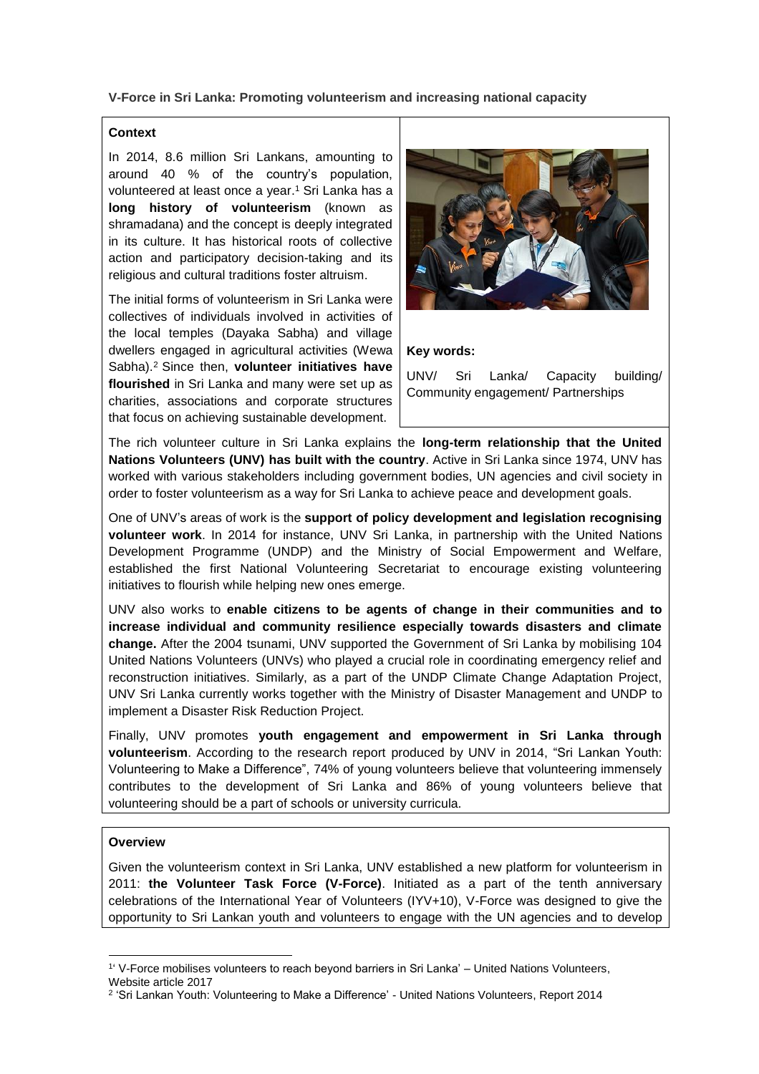**V-Force in Sri Lanka: Promoting volunteerism and increasing national capacity** 

## **Context**

In 2014, 8.6 million Sri Lankans, amounting to around 40 % of the country's population, volunteered at least once a year. <sup>1</sup> Sri Lanka has a **long history of volunteerism** (known as shramadana) and the concept is deeply integrated in its culture. It has historical roots of collective action and participatory decision-taking and its religious and cultural traditions foster altruism.

The initial forms of volunteerism in Sri Lanka were collectives of individuals involved in activities of the local temples (Dayaka Sabha) and village dwellers engaged in agricultural activities (Wewa Sabha). <sup>2</sup> Since then, **volunteer initiatives have flourished** in Sri Lanka and many were set up as charities, associations and corporate structures that focus on achieving sustainable development.



#### **Key words:**

UNV/ Sri Lanka/ Capacity building/ Community engagement/ Partnerships

The rich volunteer culture in Sri Lanka explains the **long-term relationship that the United Nations Volunteers (UNV) has built with the country**. Active in Sri Lanka since 1974, UNV has worked with various stakeholders including government bodies, UN agencies and civil society in order to foster volunteerism as a way for Sri Lanka to achieve peace and development goals.

One of UNV's areas of work is the **support of policy development and legislation recognising volunteer work**. In 2014 for instance, UNV Sri Lanka, in partnership with the United Nations Development Programme (UNDP) and the Ministry of Social Empowerment and Welfare, established the first National Volunteering Secretariat to encourage existing volunteering initiatives to flourish while helping new ones emerge.

UNV also works to **enable citizens to be agents of change in their communities and to increase individual and community resilience especially towards disasters and climate change.** After the 2004 tsunami, UNV supported the Government of Sri Lanka by mobilising 104 United Nations Volunteers (UNVs) who played a crucial role in coordinating emergency relief and reconstruction initiatives. Similarly, as a part of the UNDP Climate Change Adaptation Project, UNV Sri Lanka currently works together with the Ministry of Disaster Management and UNDP to implement a Disaster Risk Reduction Project.

Finally, UNV promotes **youth engagement and empowerment in Sri Lanka through volunteerism**. According to the research report produced by UNV in 2014, "Sri Lankan Youth: Volunteering to Make a Difference", 74% of young volunteers believe that volunteering immensely contributes to the development of Sri Lanka and 86% of young volunteers believe that volunteering should be a part of schools or university curricula.

## **Overview**

1

Given the volunteerism context in Sri Lanka, UNV established a new platform for volunteerism in 2011: **the Volunteer Task Force (V-Force)**. Initiated as a part of the tenth anniversary celebrations of the International Year of Volunteers (IYV+10), V-Force was designed to give the opportunity to Sri Lankan youth and volunteers to engage with the UN agencies and to develop

<sup>1</sup> ' V-Force mobilises volunteers to reach beyond barriers in Sri Lanka' – United Nations Volunteers, Website article 2017

<sup>&</sup>lt;sup>2</sup> 'Sri Lankan Youth: Volunteering to Make a Difference' - United Nations Volunteers, Report 2014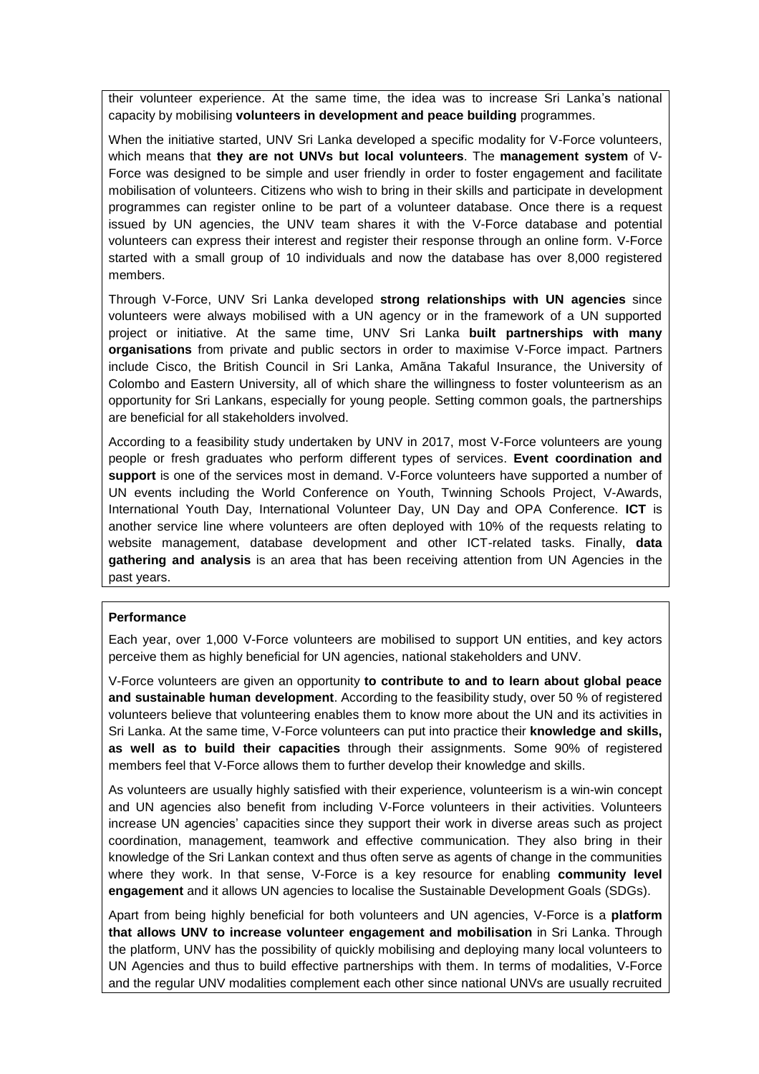their volunteer experience. At the same time, the idea was to increase Sri Lanka's national capacity by mobilising **volunteers in development and peace building** programmes.

When the initiative started, UNV Sri Lanka developed a specific modality for V-Force volunteers, which means that **they are not UNVs but local volunteers**. The **management system** of V-Force was designed to be simple and user friendly in order to foster engagement and facilitate mobilisation of volunteers. Citizens who wish to bring in their skills and participate in development programmes can register online to be part of a volunteer database. Once there is a request issued by UN agencies, the UNV team shares it with the V-Force database and potential volunteers can express their interest and register their response through an online form. V-Force started with a small group of 10 individuals and now the database has over 8,000 registered members.

Through V-Force, UNV Sri Lanka developed **strong relationships with UN agencies** since volunteers were always mobilised with a UN agency or in the framework of a UN supported project or initiative. At the same time, UNV Sri Lanka **built partnerships with many organisations** from private and public sectors in order to maximise V-Force impact. Partners include Cisco, the British Council in Sri Lanka, Amãna Takaful Insurance, the University of Colombo and Eastern University, all of which share the willingness to foster volunteerism as an opportunity for Sri Lankans, especially for young people. Setting common goals, the partnerships are beneficial for all stakeholders involved.

According to a feasibility study undertaken by UNV in 2017, most V-Force volunteers are young people or fresh graduates who perform different types of services. **Event coordination and support** is one of the services most in demand. V-Force volunteers have supported a number of UN events including the World Conference on Youth, Twinning Schools Project, V-Awards, International Youth Day, International Volunteer Day, UN Day and OPA Conference. **ICT** is another service line where volunteers are often deployed with 10% of the requests relating to website management, database development and other ICT-related tasks. Finally, **data gathering and analysis** is an area that has been receiving attention from UN Agencies in the past years.

## **Performance**

Each year, over 1,000 V-Force volunteers are mobilised to support UN entities, and key actors perceive them as highly beneficial for UN agencies, national stakeholders and UNV.

V-Force volunteers are given an opportunity **to contribute to and to learn about global peace and sustainable human development**. According to the feasibility study, over 50 % of registered volunteers believe that volunteering enables them to know more about the UN and its activities in Sri Lanka. At the same time, V-Force volunteers can put into practice their **knowledge and skills, as well as to build their capacities** through their assignments. Some 90% of registered members feel that V-Force allows them to further develop their knowledge and skills.

As volunteers are usually highly satisfied with their experience, volunteerism is a win-win concept and UN agencies also benefit from including V-Force volunteers in their activities. Volunteers increase UN agencies' capacities since they support their work in diverse areas such as project coordination, management, teamwork and effective communication. They also bring in their knowledge of the Sri Lankan context and thus often serve as agents of change in the communities where they work. In that sense, V-Force is a key resource for enabling **community level engagement** and it allows UN agencies to localise the Sustainable Development Goals (SDGs).

Apart from being highly beneficial for both volunteers and UN agencies, V-Force is a **platform that allows UNV to increase volunteer engagement and mobilisation** in Sri Lanka. Through the platform, UNV has the possibility of quickly mobilising and deploying many local volunteers to UN Agencies and thus to build effective partnerships with them. In terms of modalities, V-Force and the regular UNV modalities complement each other since national UNVs are usually recruited